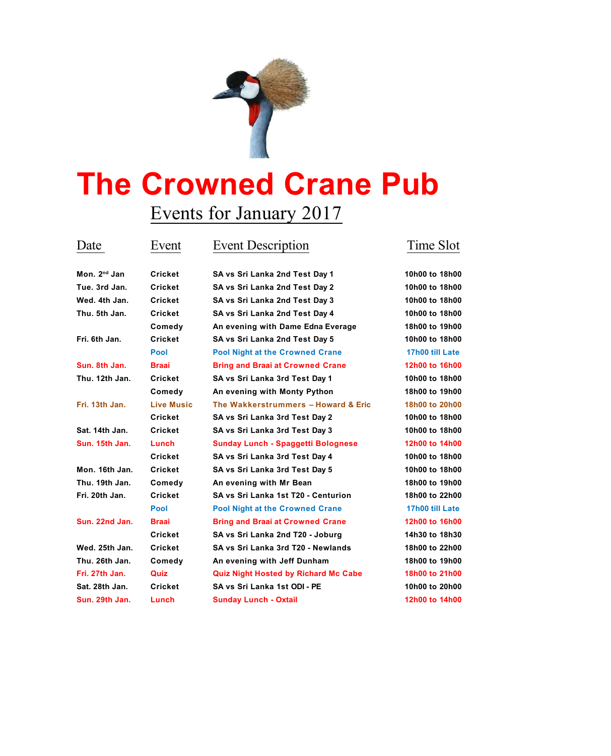

## **The Crowned Crane Pub**

## Events for January 2017

| Mon. 2 <sup>nd</sup> Ja |
|-------------------------|
| Tue. 3rd Ja             |
| Wed. 4th Ja             |

**nd Jan Cricket SA vs Sri Lanka 2nd Test Day 1 10h00 to 18h00 Tue. 3rd Jan. Cricket SA vs Sri Lanka 2nd Test Day 2 10h00 to 18h00 Wed. 4th Jan. Cricket SA vs Sri Lanka 2nd Test Day 3 10h00 to 18h00 Thu. 5th Jan. Cricket SA vs Sri Lanka 2nd Test Day 4 10h00 to 18h00 Comedy An evening with Dame Edna Everage 18h00 to 19h00 Fri. 6th Jan. Cricket SA vs Sri Lanka 2nd Test Day 5 10h00 to 18h00 Pool Pool Night at the Crowned Crane 17h00 till Late Sun. 8th Jan. Braai Bring and Braai at Crowned Crane 12h00 to 16h00 Thu. 12th Jan. Cricket SA vs Sri Lanka 3rd Test Day 1 10h00 to 18h00 Comedy An evening with Monty Python 18h00 to 19h00 Fri. 13th Jan. Live Music The Wakkerstrummers – Howard & Eric 18h00 to 20h00 Cricket SA vs Sri Lanka 3rd Test Day 2 10h00 to 18h00 Sat. 14th Jan. Cricket SA vs Sri Lanka 3rd Test Day 3 10h00 to 18h00 Sun. 15th Jan. Lunch Sunday Lunch - Spaggetti Bolognese 12h00 to 14h00 Cricket SA vs Sri Lanka 3rd Test Day 4 10h00 to 18h00 Mon. 16th Jan. Cricket SA vs Sri Lanka 3rd Test Day 5 10h00 to 18h00 Thu. 19th Jan. Comedy An evening with Mr Bean 18h00 to 19h00 Fri. 20th Jan. Cricket SA vs Sri Lanka 1st T20 - Centurion 18h00 to 22h00 Pool Pool Night at the Crowned Crane 17h00 till Late Sun. 22nd Jan. Braai Bring and Braai at Crowned Crane 12h00 to 16h00 Cricket SA vs Sri Lanka 2nd T20 - Joburg 14h30 to 18h30 Wed. 25th Jan. Cricket SA vs Sri Lanka 3rd T20 - Newlands 18h00 to 22h00 Thu. 26th Jan. Comedy An evening with Jeff Dunham 18h00 to 19h00 Fri. 27th Jan. Quiz Quiz Night Hosted by Richard Mc Cabe 18h00 to 21h00 Sat. 28th Jan. Cricket SA vs Sri Lanka 1st ODI - PE 10h00 to 20h00 Sun. 29th Jan. Lunch Sunday Lunch - Oxtail 12h00 to 14h00**

## Date Event Event Description Time Slot